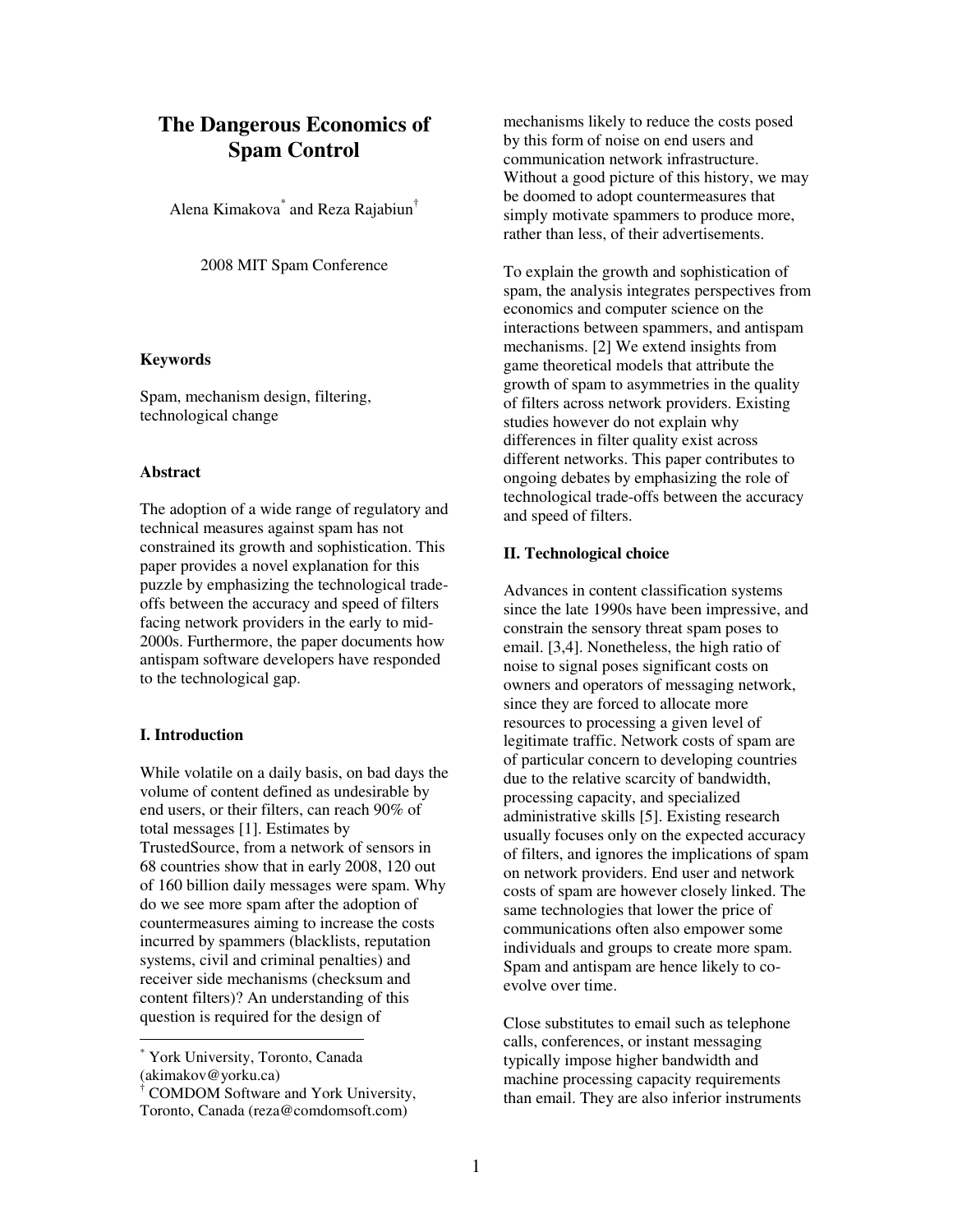# **The Dangerous Economics of Spam Control**

Alena Kimakova<sup>\*</sup> and Reza Rajabiun<sup>†</sup>

2008 MIT Spam Conference

#### **Keywords**

Spam, mechanism design, filtering, technological change

#### **Abstract**

The adoption of a wide range of regulatory and technical measures against spam has not constrained its growth and sophistication. This paper provides a novel explanation for this puzzle by emphasizing the technological tradeoffs between the accuracy and speed of filters facing network providers in the early to mid-2000s. Furthermore, the paper documents how antispam software developers have responded to the technological gap.

# **I. Introduction**

 $\overline{a}$ 

While volatile on a daily basis, on bad days the volume of content defined as undesirable by end users, or their filters, can reach 90% of total messages [1]. Estimates by TrustedSource, from a network of sensors in 68 countries show that in early 2008, 120 out of 160 billion daily messages were spam. Why do we see more spam after the adoption of countermeasures aiming to increase the costs incurred by spammers (blacklists, reputation systems, civil and criminal penalties) and receiver side mechanisms (checksum and content filters)? An understanding of this question is required for the design of

\* York University, Toronto, Canada (akimakov@yorku.ca)

† COMDOM Software and York University, Toronto, Canada (reza@comdomsoft.com)

mechanisms likely to reduce the costs posed by this form of noise on end users and communication network infrastructure. Without a good picture of this history, we may be doomed to adopt countermeasures that simply motivate spammers to produce more, rather than less, of their advertisements.

To explain the growth and sophistication of spam, the analysis integrates perspectives from economics and computer science on the interactions between spammers, and antispam mechanisms. [2] We extend insights from game theoretical models that attribute the growth of spam to asymmetries in the quality of filters across network providers. Existing studies however do not explain why differences in filter quality exist across different networks. This paper contributes to ongoing debates by emphasizing the role of technological trade-offs between the accuracy and speed of filters.

#### **II. Technological choice**

Advances in content classification systems since the late 1990s have been impressive, and constrain the sensory threat spam poses to email. [3,4]. Nonetheless, the high ratio of noise to signal poses significant costs on owners and operators of messaging network, since they are forced to allocate more resources to processing a given level of legitimate traffic. Network costs of spam are of particular concern to developing countries due to the relative scarcity of bandwidth, processing capacity, and specialized administrative skills [5]. Existing research usually focuses only on the expected accuracy of filters, and ignores the implications of spam on network providers. End user and network costs of spam are however closely linked. The same technologies that lower the price of communications often also empower some individuals and groups to create more spam. Spam and antispam are hence likely to coevolve over time.

Close substitutes to email such as telephone calls, conferences, or instant messaging typically impose higher bandwidth and machine processing capacity requirements than email. They are also inferior instruments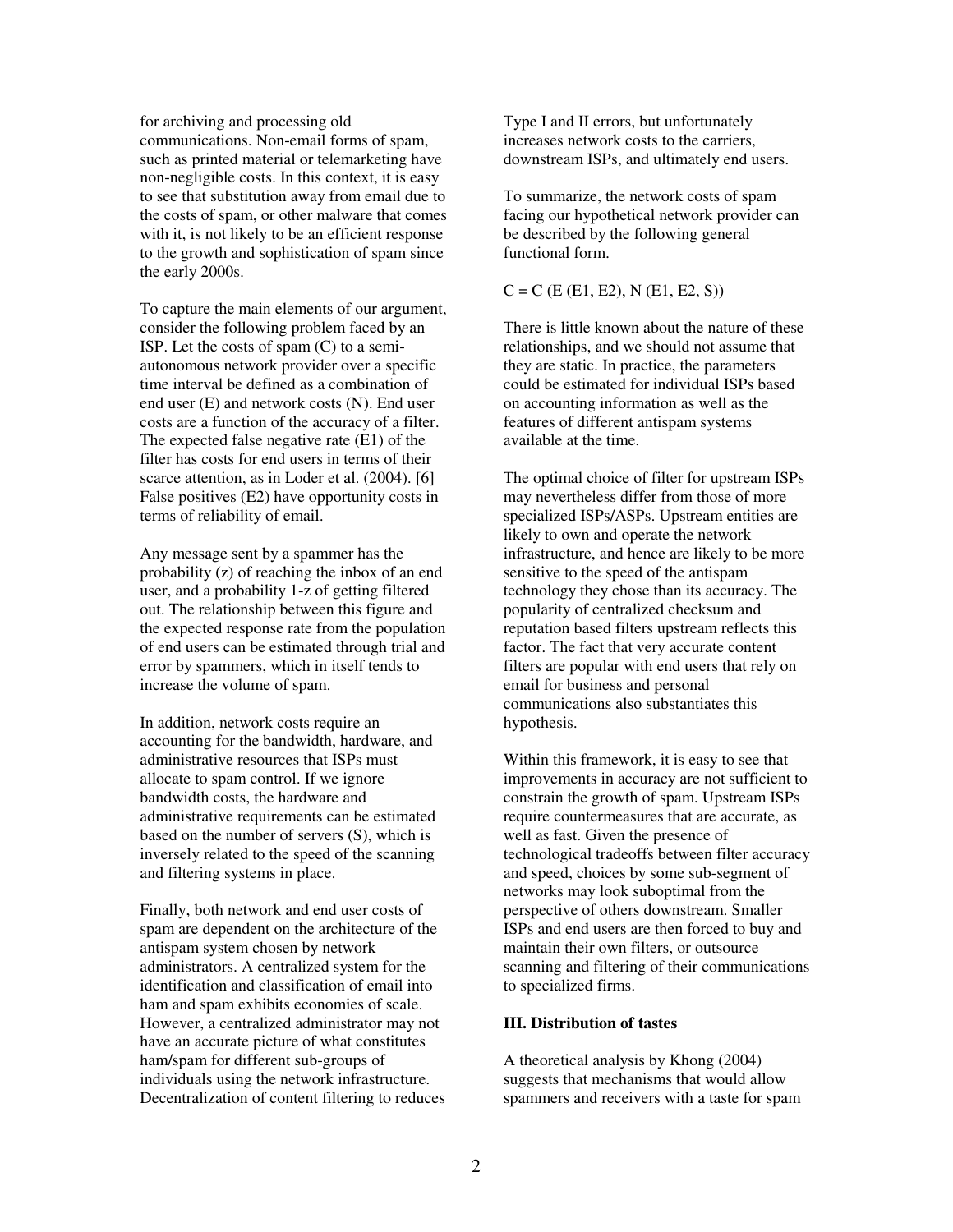for archiving and processing old communications. Non-email forms of spam, such as printed material or telemarketing have non-negligible costs. In this context, it is easy to see that substitution away from email due to the costs of spam, or other malware that comes with it, is not likely to be an efficient response to the growth and sophistication of spam since the early 2000s.

To capture the main elements of our argument, consider the following problem faced by an ISP. Let the costs of spam (C) to a semiautonomous network provider over a specific time interval be defined as a combination of end user (E) and network costs (N). End user costs are a function of the accuracy of a filter. The expected false negative rate (E1) of the filter has costs for end users in terms of their scarce attention, as in Loder et al. (2004). [6] False positives (E2) have opportunity costs in terms of reliability of email.

Any message sent by a spammer has the probability (z) of reaching the inbox of an end user, and a probability 1-z of getting filtered out. The relationship between this figure and the expected response rate from the population of end users can be estimated through trial and error by spammers, which in itself tends to increase the volume of spam.

In addition, network costs require an accounting for the bandwidth, hardware, and administrative resources that ISPs must allocate to spam control. If we ignore bandwidth costs, the hardware and administrative requirements can be estimated based on the number of servers (S), which is inversely related to the speed of the scanning and filtering systems in place.

Finally, both network and end user costs of spam are dependent on the architecture of the antispam system chosen by network administrators. A centralized system for the identification and classification of email into ham and spam exhibits economies of scale. However, a centralized administrator may not have an accurate picture of what constitutes ham/spam for different sub-groups of individuals using the network infrastructure. Decentralization of content filtering to reduces Type I and II errors, but unfortunately increases network costs to the carriers, downstream ISPs, and ultimately end users.

To summarize, the network costs of spam facing our hypothetical network provider can be described by the following general functional form.

 $C = C$  (E (E1, E2), N (E1, E2, S))

There is little known about the nature of these relationships, and we should not assume that they are static. In practice, the parameters could be estimated for individual ISPs based on accounting information as well as the features of different antispam systems available at the time.

The optimal choice of filter for upstream ISPs may nevertheless differ from those of more specialized ISPs/ASPs. Upstream entities are likely to own and operate the network infrastructure, and hence are likely to be more sensitive to the speed of the antispam technology they chose than its accuracy. The popularity of centralized checksum and reputation based filters upstream reflects this factor. The fact that very accurate content filters are popular with end users that rely on email for business and personal communications also substantiates this hypothesis.

Within this framework, it is easy to see that improvements in accuracy are not sufficient to constrain the growth of spam. Upstream ISPs require countermeasures that are accurate, as well as fast. Given the presence of technological tradeoffs between filter accuracy and speed, choices by some sub-segment of networks may look suboptimal from the perspective of others downstream. Smaller ISPs and end users are then forced to buy and maintain their own filters, or outsource scanning and filtering of their communications to specialized firms.

# **III. Distribution of tastes**

A theoretical analysis by Khong (2004) suggests that mechanisms that would allow spammers and receivers with a taste for spam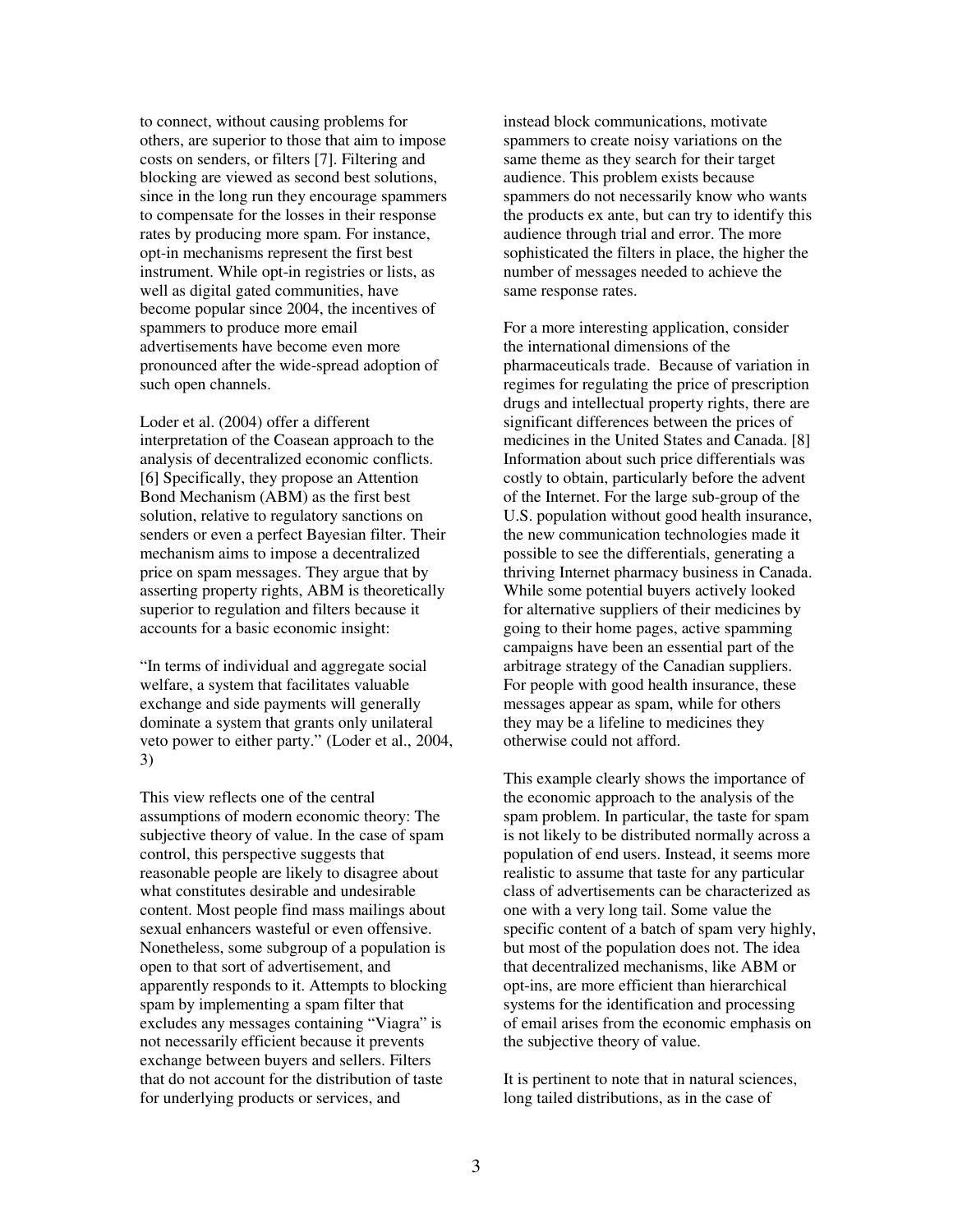to connect, without causing problems for others, are superior to those that aim to impose costs on senders, or filters [7]. Filtering and blocking are viewed as second best solutions, since in the long run they encourage spammers to compensate for the losses in their response rates by producing more spam. For instance, opt-in mechanisms represent the first best instrument. While opt-in registries or lists, as well as digital gated communities, have become popular since 2004, the incentives of spammers to produce more email advertisements have become even more pronounced after the wide-spread adoption of such open channels.

Loder et al. (2004) offer a different interpretation of the Coasean approach to the analysis of decentralized economic conflicts. [6] Specifically, they propose an Attention Bond Mechanism (ABM) as the first best solution, relative to regulatory sanctions on senders or even a perfect Bayesian filter. Their mechanism aims to impose a decentralized price on spam messages. They argue that by asserting property rights, ABM is theoretically superior to regulation and filters because it accounts for a basic economic insight:

"In terms of individual and aggregate social welfare, a system that facilitates valuable exchange and side payments will generally dominate a system that grants only unilateral veto power to either party." (Loder et al., 2004, 3)

This view reflects one of the central assumptions of modern economic theory: The subjective theory of value. In the case of spam control, this perspective suggests that reasonable people are likely to disagree about what constitutes desirable and undesirable content. Most people find mass mailings about sexual enhancers wasteful or even offensive. Nonetheless, some subgroup of a population is open to that sort of advertisement, and apparently responds to it. Attempts to blocking spam by implementing a spam filter that excludes any messages containing "Viagra" is not necessarily efficient because it prevents exchange between buyers and sellers. Filters that do not account for the distribution of taste for underlying products or services, and

instead block communications, motivate spammers to create noisy variations on the same theme as they search for their target audience. This problem exists because spammers do not necessarily know who wants the products ex ante, but can try to identify this audience through trial and error. The more sophisticated the filters in place, the higher the number of messages needed to achieve the same response rates.

For a more interesting application, consider the international dimensions of the pharmaceuticals trade. Because of variation in regimes for regulating the price of prescription drugs and intellectual property rights, there are significant differences between the prices of medicines in the United States and Canada. [8] Information about such price differentials was costly to obtain, particularly before the advent of the Internet. For the large sub-group of the U.S. population without good health insurance, the new communication technologies made it possible to see the differentials, generating a thriving Internet pharmacy business in Canada. While some potential buyers actively looked for alternative suppliers of their medicines by going to their home pages, active spamming campaigns have been an essential part of the arbitrage strategy of the Canadian suppliers. For people with good health insurance, these messages appear as spam, while for others they may be a lifeline to medicines they otherwise could not afford.

This example clearly shows the importance of the economic approach to the analysis of the spam problem. In particular, the taste for spam is not likely to be distributed normally across a population of end users. Instead, it seems more realistic to assume that taste for any particular class of advertisements can be characterized as one with a very long tail. Some value the specific content of a batch of spam very highly, but most of the population does not. The idea that decentralized mechanisms, like ABM or opt-ins, are more efficient than hierarchical systems for the identification and processing of email arises from the economic emphasis on the subjective theory of value.

It is pertinent to note that in natural sciences, long tailed distributions, as in the case of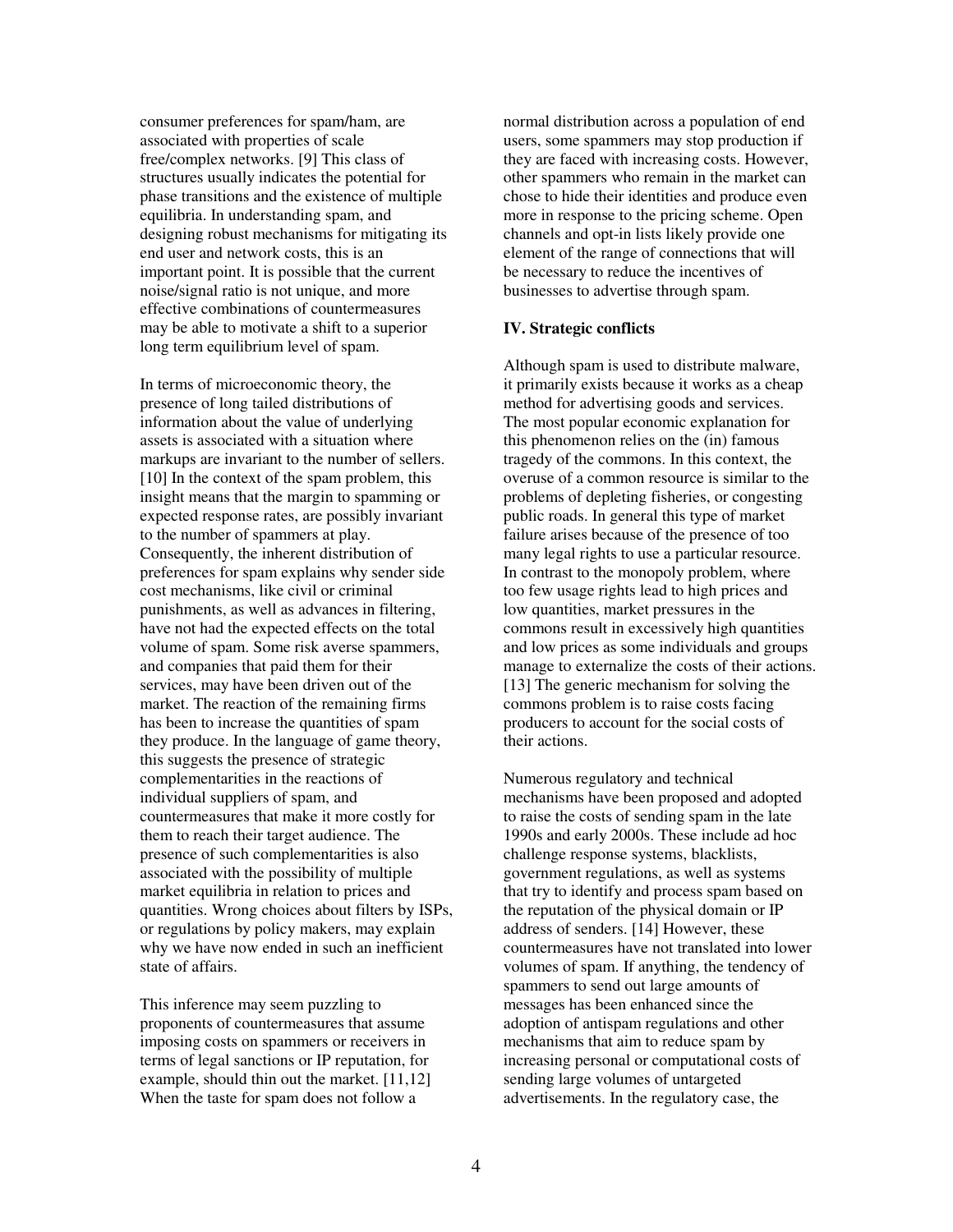consumer preferences for spam/ham, are associated with properties of scale free/complex networks. [9] This class of structures usually indicates the potential for phase transitions and the existence of multiple equilibria. In understanding spam, and designing robust mechanisms for mitigating its end user and network costs, this is an important point. It is possible that the current noise/signal ratio is not unique, and more effective combinations of countermeasures may be able to motivate a shift to a superior long term equilibrium level of spam.

In terms of microeconomic theory, the presence of long tailed distributions of information about the value of underlying assets is associated with a situation where markups are invariant to the number of sellers. [10] In the context of the spam problem, this insight means that the margin to spamming or expected response rates, are possibly invariant to the number of spammers at play. Consequently, the inherent distribution of preferences for spam explains why sender side cost mechanisms, like civil or criminal punishments, as well as advances in filtering, have not had the expected effects on the total volume of spam. Some risk averse spammers, and companies that paid them for their services, may have been driven out of the market. The reaction of the remaining firms has been to increase the quantities of spam they produce. In the language of game theory, this suggests the presence of strategic complementarities in the reactions of individual suppliers of spam, and countermeasures that make it more costly for them to reach their target audience. The presence of such complementarities is also associated with the possibility of multiple market equilibria in relation to prices and quantities. Wrong choices about filters by ISPs, or regulations by policy makers, may explain why we have now ended in such an inefficient state of affairs.

This inference may seem puzzling to proponents of countermeasures that assume imposing costs on spammers or receivers in terms of legal sanctions or IP reputation, for example, should thin out the market. [11,12] When the taste for spam does not follow a

normal distribution across a population of end users, some spammers may stop production if they are faced with increasing costs. However, other spammers who remain in the market can chose to hide their identities and produce even more in response to the pricing scheme. Open channels and opt-in lists likely provide one element of the range of connections that will be necessary to reduce the incentives of businesses to advertise through spam.

#### **IV. Strategic conflicts**

Although spam is used to distribute malware, it primarily exists because it works as a cheap method for advertising goods and services. The most popular economic explanation for this phenomenon relies on the (in) famous tragedy of the commons. In this context, the overuse of a common resource is similar to the problems of depleting fisheries, or congesting public roads. In general this type of market failure arises because of the presence of too many legal rights to use a particular resource. In contrast to the monopoly problem, where too few usage rights lead to high prices and low quantities, market pressures in the commons result in excessively high quantities and low prices as some individuals and groups manage to externalize the costs of their actions. [13] The generic mechanism for solving the commons problem is to raise costs facing producers to account for the social costs of their actions.

Numerous regulatory and technical mechanisms have been proposed and adopted to raise the costs of sending spam in the late 1990s and early 2000s. These include ad hoc challenge response systems, blacklists, government regulations, as well as systems that try to identify and process spam based on the reputation of the physical domain or IP address of senders. [14] However, these countermeasures have not translated into lower volumes of spam. If anything, the tendency of spammers to send out large amounts of messages has been enhanced since the adoption of antispam regulations and other mechanisms that aim to reduce spam by increasing personal or computational costs of sending large volumes of untargeted advertisements. In the regulatory case, the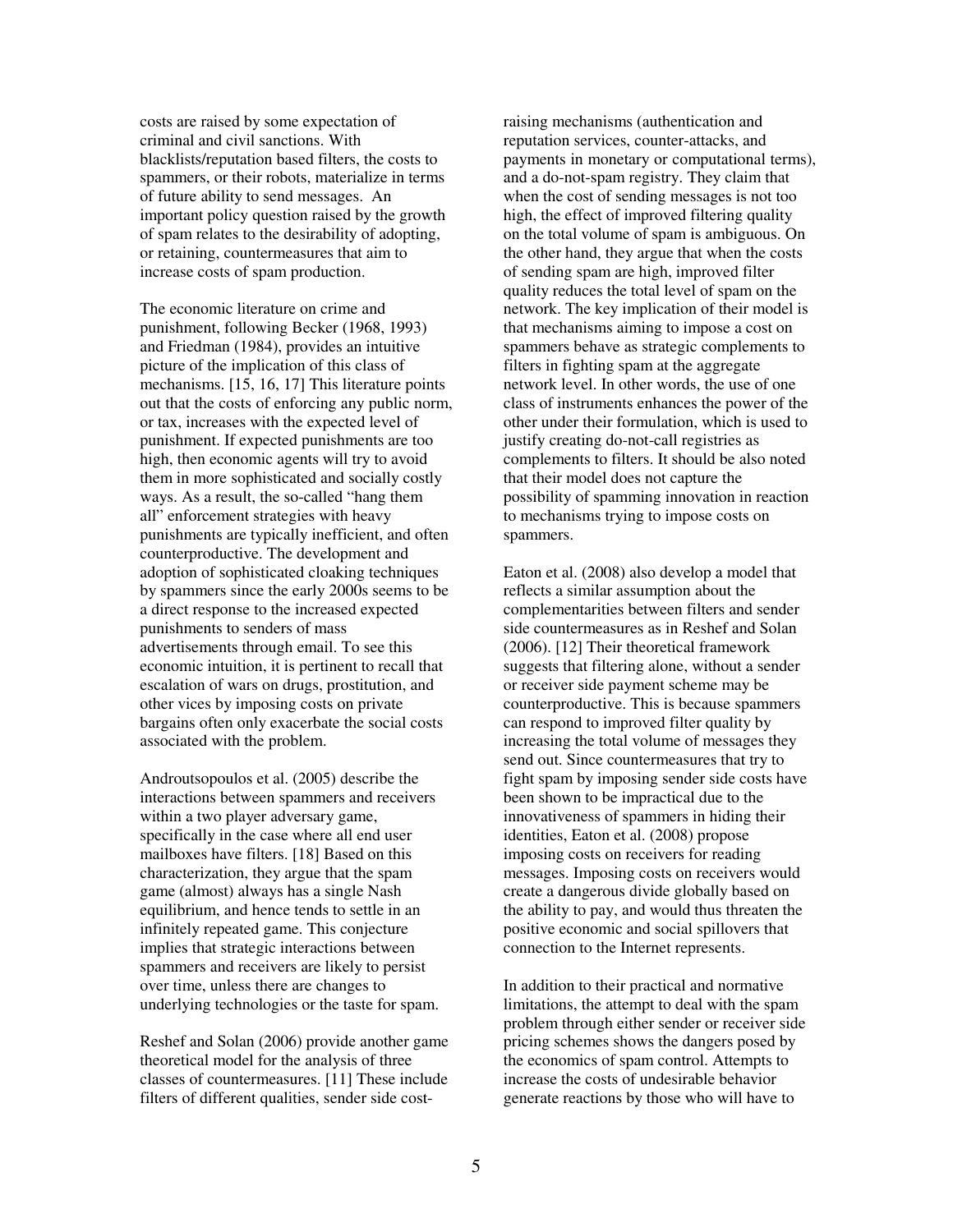costs are raised by some expectation of criminal and civil sanctions. With blacklists/reputation based filters, the costs to spammers, or their robots, materialize in terms of future ability to send messages. An important policy question raised by the growth of spam relates to the desirability of adopting, or retaining, countermeasures that aim to increase costs of spam production.

The economic literature on crime and punishment, following Becker (1968, 1993) and Friedman (1984), provides an intuitive picture of the implication of this class of mechanisms. [15, 16, 17] This literature points out that the costs of enforcing any public norm, or tax, increases with the expected level of punishment. If expected punishments are too high, then economic agents will try to avoid them in more sophisticated and socially costly ways. As a result, the so-called "hang them all" enforcement strategies with heavy punishments are typically inefficient, and often counterproductive. The development and adoption of sophisticated cloaking techniques by spammers since the early 2000s seems to be a direct response to the increased expected punishments to senders of mass advertisements through email. To see this economic intuition, it is pertinent to recall that escalation of wars on drugs, prostitution, and other vices by imposing costs on private bargains often only exacerbate the social costs associated with the problem.

Androutsopoulos et al. (2005) describe the interactions between spammers and receivers within a two player adversary game, specifically in the case where all end user mailboxes have filters. [18] Based on this characterization, they argue that the spam game (almost) always has a single Nash equilibrium, and hence tends to settle in an infinitely repeated game. This conjecture implies that strategic interactions between spammers and receivers are likely to persist over time, unless there are changes to underlying technologies or the taste for spam.

Reshef and Solan (2006) provide another game theoretical model for the analysis of three classes of countermeasures. [11] These include filters of different qualities, sender side costraising mechanisms (authentication and reputation services, counter-attacks, and payments in monetary or computational terms), and a do-not-spam registry. They claim that when the cost of sending messages is not too high, the effect of improved filtering quality on the total volume of spam is ambiguous. On the other hand, they argue that when the costs of sending spam are high, improved filter quality reduces the total level of spam on the network. The key implication of their model is that mechanisms aiming to impose a cost on spammers behave as strategic complements to filters in fighting spam at the aggregate network level. In other words, the use of one class of instruments enhances the power of the other under their formulation, which is used to justify creating do-not-call registries as complements to filters. It should be also noted that their model does not capture the possibility of spamming innovation in reaction to mechanisms trying to impose costs on spammers.

Eaton et al. (2008) also develop a model that reflects a similar assumption about the complementarities between filters and sender side countermeasures as in Reshef and Solan (2006). [12] Their theoretical framework suggests that filtering alone, without a sender or receiver side payment scheme may be counterproductive. This is because spammers can respond to improved filter quality by increasing the total volume of messages they send out. Since countermeasures that try to fight spam by imposing sender side costs have been shown to be impractical due to the innovativeness of spammers in hiding their identities, Eaton et al. (2008) propose imposing costs on receivers for reading messages. Imposing costs on receivers would create a dangerous divide globally based on the ability to pay, and would thus threaten the positive economic and social spillovers that connection to the Internet represents.

In addition to their practical and normative limitations, the attempt to deal with the spam problem through either sender or receiver side pricing schemes shows the dangers posed by the economics of spam control. Attempts to increase the costs of undesirable behavior generate reactions by those who will have to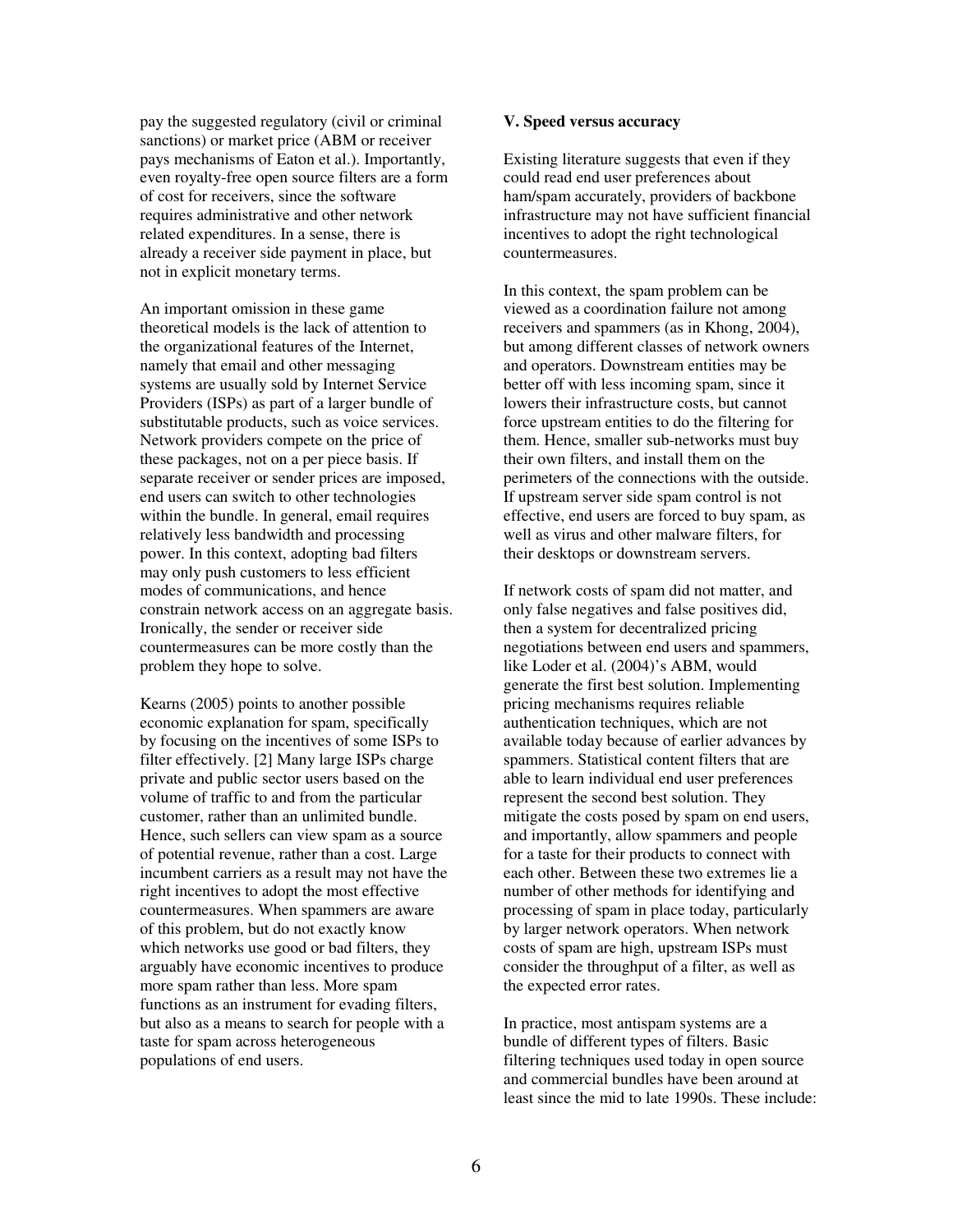pay the suggested regulatory (civil or criminal sanctions) or market price (ABM or receiver pays mechanisms of Eaton et al.). Importantly, even royalty-free open source filters are a form of cost for receivers, since the software requires administrative and other network related expenditures. In a sense, there is already a receiver side payment in place, but not in explicit monetary terms.

An important omission in these game theoretical models is the lack of attention to the organizational features of the Internet, namely that email and other messaging systems are usually sold by Internet Service Providers (ISPs) as part of a larger bundle of substitutable products, such as voice services. Network providers compete on the price of these packages, not on a per piece basis. If separate receiver or sender prices are imposed, end users can switch to other technologies within the bundle. In general, email requires relatively less bandwidth and processing power. In this context, adopting bad filters may only push customers to less efficient modes of communications, and hence constrain network access on an aggregate basis. Ironically, the sender or receiver side countermeasures can be more costly than the problem they hope to solve.

Kearns (2005) points to another possible economic explanation for spam, specifically by focusing on the incentives of some ISPs to filter effectively. [2] Many large ISPs charge private and public sector users based on the volume of traffic to and from the particular customer, rather than an unlimited bundle. Hence, such sellers can view spam as a source of potential revenue, rather than a cost. Large incumbent carriers as a result may not have the right incentives to adopt the most effective countermeasures. When spammers are aware of this problem, but do not exactly know which networks use good or bad filters, they arguably have economic incentives to produce more spam rather than less. More spam functions as an instrument for evading filters, but also as a means to search for people with a taste for spam across heterogeneous populations of end users.

#### **V. Speed versus accuracy**

Existing literature suggests that even if they could read end user preferences about ham/spam accurately, providers of backbone infrastructure may not have sufficient financial incentives to adopt the right technological countermeasures.

In this context, the spam problem can be viewed as a coordination failure not among receivers and spammers (as in Khong, 2004), but among different classes of network owners and operators. Downstream entities may be better off with less incoming spam, since it lowers their infrastructure costs, but cannot force upstream entities to do the filtering for them. Hence, smaller sub-networks must buy their own filters, and install them on the perimeters of the connections with the outside. If upstream server side spam control is not effective, end users are forced to buy spam, as well as virus and other malware filters, for their desktops or downstream servers.

If network costs of spam did not matter, and only false negatives and false positives did, then a system for decentralized pricing negotiations between end users and spammers, like Loder et al. (2004)'s ABM, would generate the first best solution. Implementing pricing mechanisms requires reliable authentication techniques, which are not available today because of earlier advances by spammers. Statistical content filters that are able to learn individual end user preferences represent the second best solution. They mitigate the costs posed by spam on end users, and importantly, allow spammers and people for a taste for their products to connect with each other. Between these two extremes lie a number of other methods for identifying and processing of spam in place today, particularly by larger network operators. When network costs of spam are high, upstream ISPs must consider the throughput of a filter, as well as the expected error rates.

In practice, most antispam systems are a bundle of different types of filters. Basic filtering techniques used today in open source and commercial bundles have been around at least since the mid to late 1990s. These include: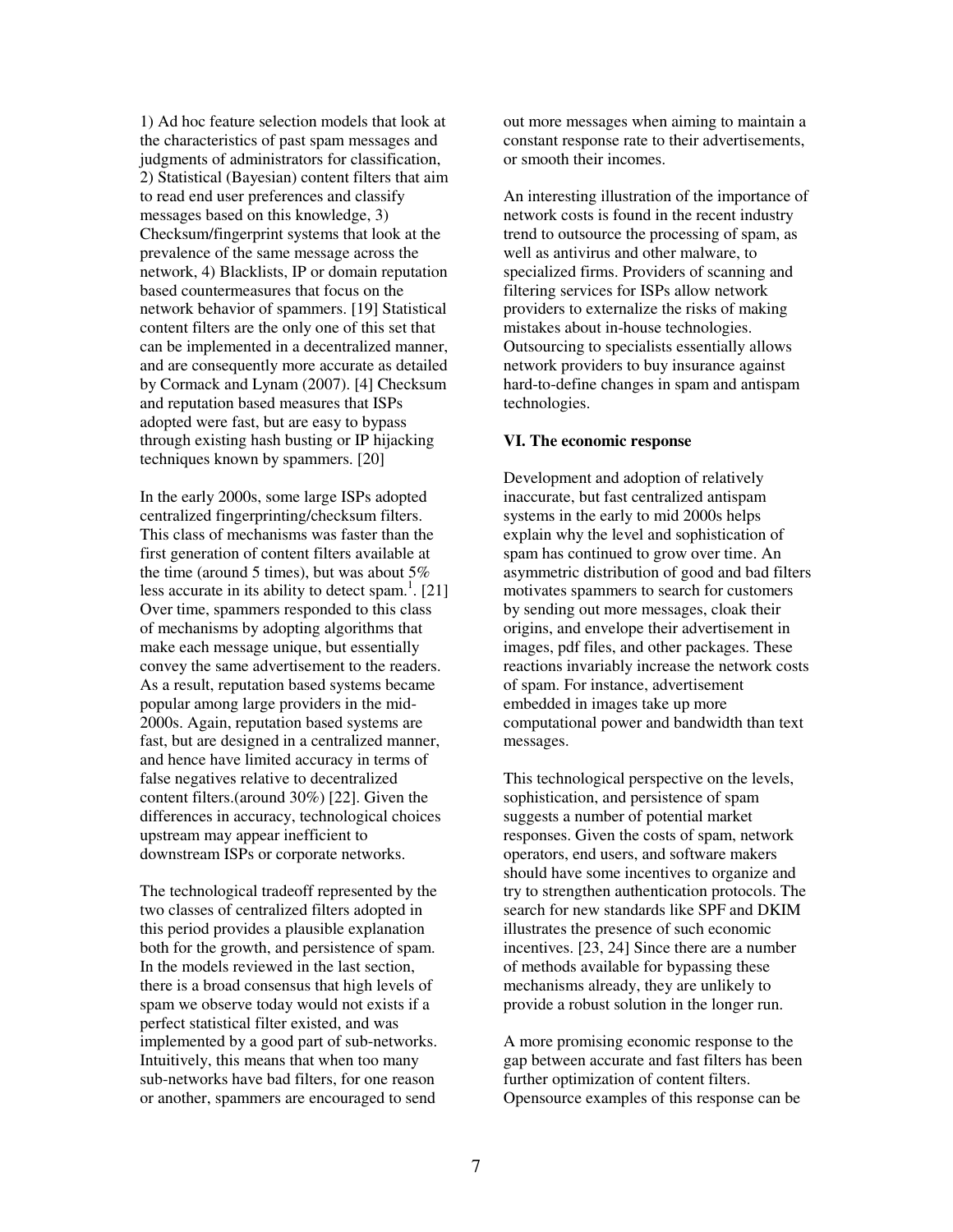1) Ad hoc feature selection models that look at the characteristics of past spam messages and judgments of administrators for classification, 2) Statistical (Bayesian) content filters that aim to read end user preferences and classify messages based on this knowledge, 3) Checksum/fingerprint systems that look at the prevalence of the same message across the network, 4) Blacklists, IP or domain reputation based countermeasures that focus on the network behavior of spammers. [19] Statistical content filters are the only one of this set that can be implemented in a decentralized manner, and are consequently more accurate as detailed by Cormack and Lynam (2007). [4] Checksum and reputation based measures that ISPs adopted were fast, but are easy to bypass through existing hash busting or IP hijacking techniques known by spammers. [20]

In the early 2000s, some large ISPs adopted centralized fingerprinting/checksum filters. This class of mechanisms was faster than the first generation of content filters available at the time (around 5 times), but was about  $5\%$ less accurate in its ability to detect spam.<sup>1</sup>. [21] Over time, spammers responded to this class of mechanisms by adopting algorithms that make each message unique, but essentially convey the same advertisement to the readers. As a result, reputation based systems became popular among large providers in the mid-2000s. Again, reputation based systems are fast, but are designed in a centralized manner, and hence have limited accuracy in terms of false negatives relative to decentralized content filters.(around 30%) [22]. Given the differences in accuracy, technological choices upstream may appear inefficient to downstream ISPs or corporate networks.

The technological tradeoff represented by the two classes of centralized filters adopted in this period provides a plausible explanation both for the growth, and persistence of spam. In the models reviewed in the last section, there is a broad consensus that high levels of spam we observe today would not exists if a perfect statistical filter existed, and was implemented by a good part of sub-networks. Intuitively, this means that when too many sub-networks have bad filters, for one reason or another, spammers are encouraged to send

out more messages when aiming to maintain a constant response rate to their advertisements, or smooth their incomes.

An interesting illustration of the importance of network costs is found in the recent industry trend to outsource the processing of spam, as well as antivirus and other malware, to specialized firms. Providers of scanning and filtering services for ISPs allow network providers to externalize the risks of making mistakes about in-house technologies. Outsourcing to specialists essentially allows network providers to buy insurance against hard-to-define changes in spam and antispam technologies.

#### **VI. The economic response**

Development and adoption of relatively inaccurate, but fast centralized antispam systems in the early to mid 2000s helps explain why the level and sophistication of spam has continued to grow over time. An asymmetric distribution of good and bad filters motivates spammers to search for customers by sending out more messages, cloak their origins, and envelope their advertisement in images, pdf files, and other packages. These reactions invariably increase the network costs of spam. For instance, advertisement embedded in images take up more computational power and bandwidth than text messages.

This technological perspective on the levels, sophistication, and persistence of spam suggests a number of potential market responses. Given the costs of spam, network operators, end users, and software makers should have some incentives to organize and try to strengthen authentication protocols. The search for new standards like SPF and DKIM illustrates the presence of such economic incentives. [23, 24] Since there are a number of methods available for bypassing these mechanisms already, they are unlikely to provide a robust solution in the longer run.

A more promising economic response to the gap between accurate and fast filters has been further optimization of content filters. Opensource examples of this response can be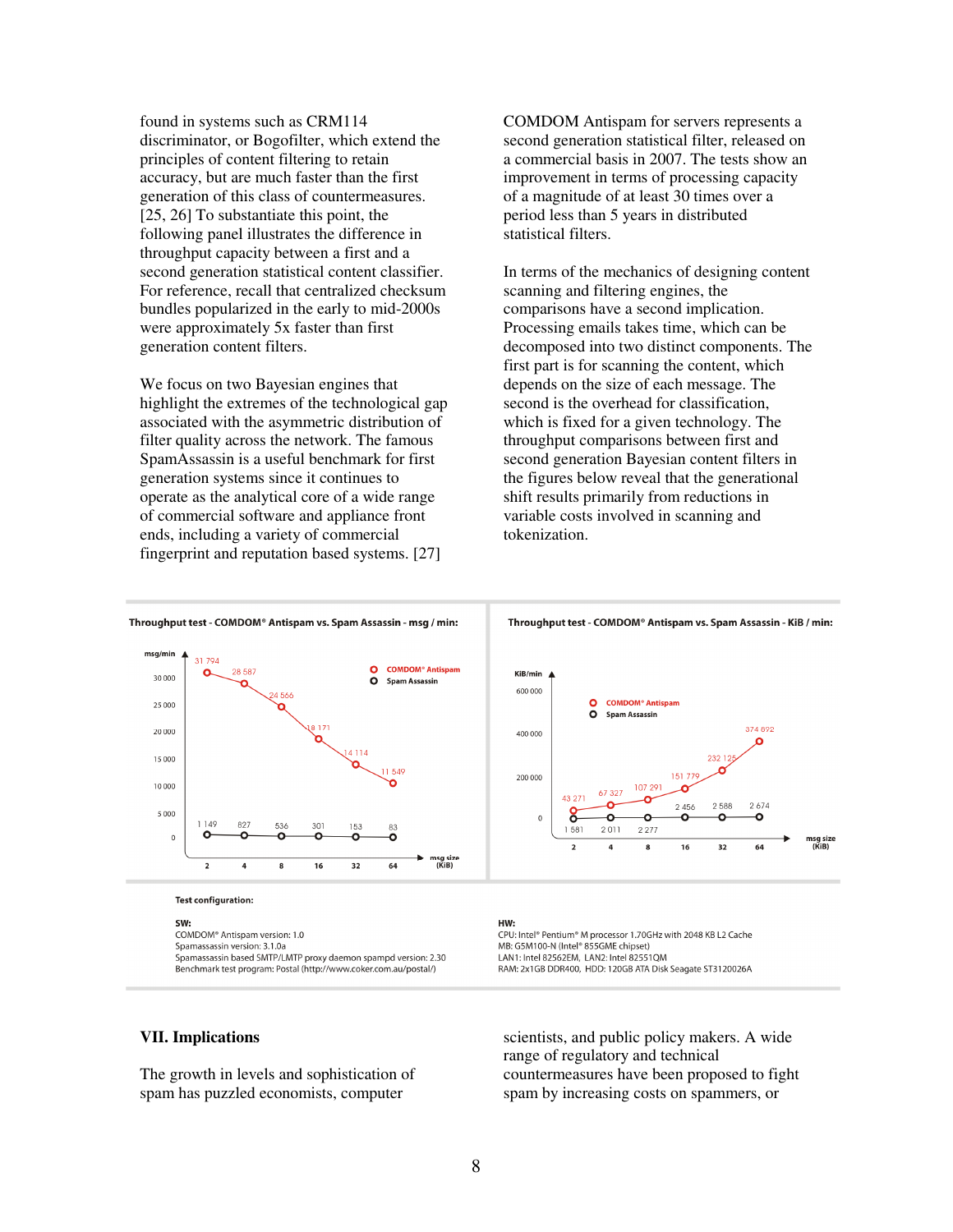found in systems such as CRM114 discriminator, or Bogofilter, which extend the principles of content filtering to retain accuracy, but are much faster than the first generation of this class of countermeasures. [25, 26] To substantiate this point, the following panel illustrates the difference in throughput capacity between a first and a second generation statistical content classifier. For reference, recall that centralized checksum bundles popularized in the early to mid-2000s were approximately 5x faster than first generation content filters.

We focus on two Bayesian engines that highlight the extremes of the technological gap associated with the asymmetric distribution of filter quality across the network. The famous SpamAssassin is a useful benchmark for first generation systems since it continues to operate as the analytical core of a wide range of commercial software and appliance front ends, including a variety of commercial fingerprint and reputation based systems. [27]

COMDOM Antispam for servers represents a second generation statistical filter, released on a commercial basis in 2007. The tests show an improvement in terms of processing capacity of a magnitude of at least 30 times over a period less than 5 years in distributed statistical filters.

In terms of the mechanics of designing content scanning and filtering engines, the comparisons have a second implication. Processing emails takes time, which can be decomposed into two distinct components. The first part is for scanning the content, which depends on the size of each message. The second is the overhead for classification, which is fixed for a given technology. The throughput comparisons between first and second generation Bayesian content filters in the figures below reveal that the generational shift results primarily from reductions in variable costs involved in scanning and tokenization.



#### **Test configuration:**

SW:

COMDOM® Antispam version: 1.0 Spamassassin version: 3.1.0a Spamassassin based SMTP/LMTP proxy daemon spampd version: 2.30 Benchmark test program: Postal (http://www.coker.com.au/postal/)

#### HW· CPU: Intel® Pentium® M processor 1.70GHz with 2048 KB L2 Cache MB: G5M100-N (Intel® 855GME chipset) LAN1: Intel 82562EM, LAN2: Intel 82551QM RAM: 2x1GB DDR400, HDD: 120GB ATA Disk Seagate ST3120026A

# **VII. Implications**

The growth in levels and sophistication of spam has puzzled economists, computer

scientists, and public policy makers. A wide range of regulatory and technical countermeasures have been proposed to fight spam by increasing costs on spammers, or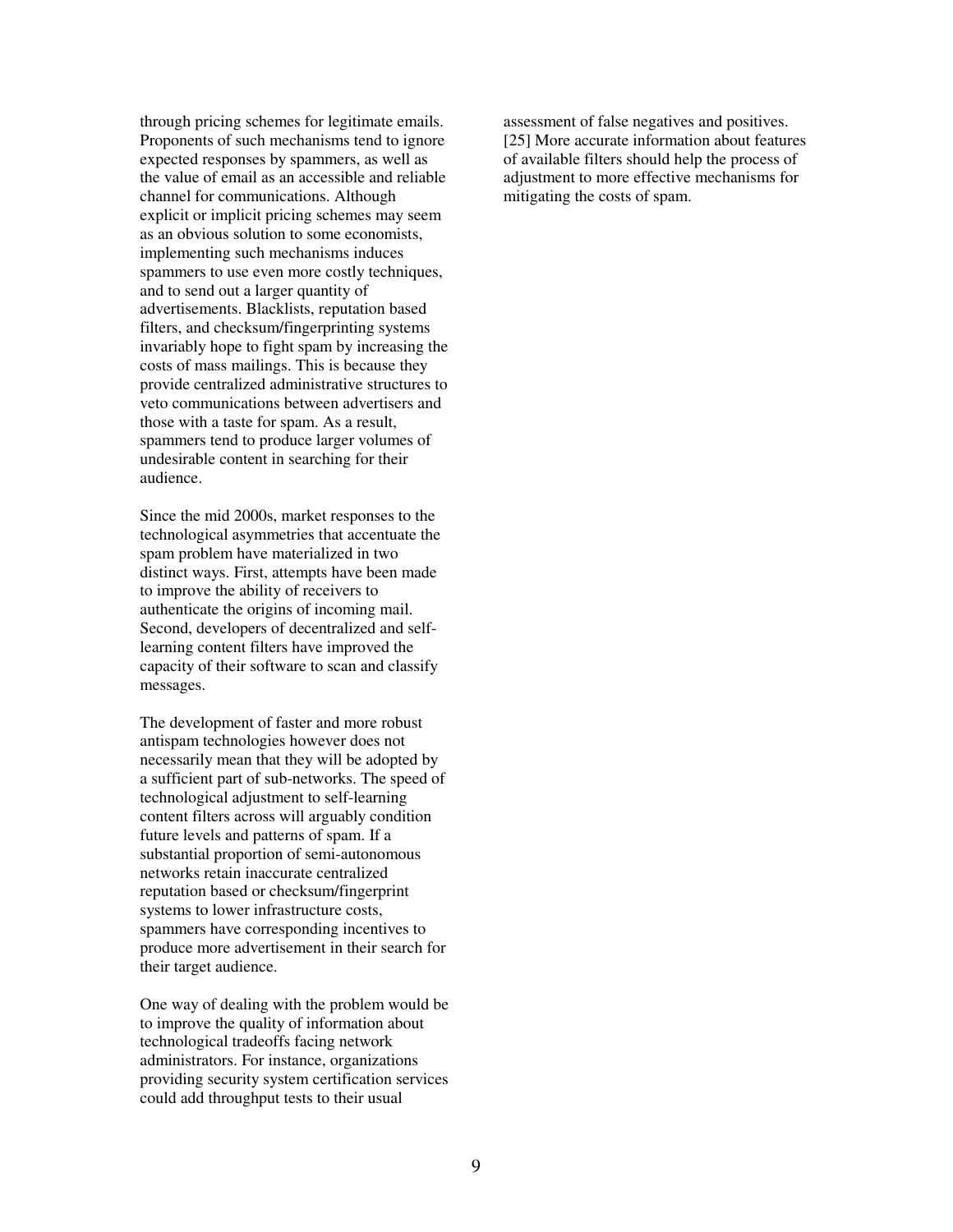through pricing schemes for legitimate emails. Proponents of such mechanisms tend to ignore expected responses by spammers, as well as the value of email as an accessible and reliable channel for communications. Although explicit or implicit pricing schemes may seem as an obvious solution to some economists, implementing such mechanisms induces spammers to use even more costly techniques, and to send out a larger quantity of advertisements. Blacklists, reputation based filters, and checksum/fingerprinting systems invariably hope to fight spam by increasing the costs of mass mailings. This is because they provide centralized administrative structures to veto communications between advertisers and those with a taste for spam. As a result, spammers tend to produce larger volumes of undesirable content in searching for their audience.

Since the mid 2000s, market responses to the technological asymmetries that accentuate the spam problem have materialized in two distinct ways. First, attempts have been made to improve the ability of receivers to authenticate the origins of incoming mail. Second, developers of decentralized and selflearning content filters have improved the capacity of their software to scan and classify messages.

The development of faster and more robust antispam technologies however does not necessarily mean that they will be adopted by a sufficient part of sub-networks. The speed of technological adjustment to self-learning content filters across will arguably condition future levels and patterns of spam. If a substantial proportion of semi-autonomous networks retain inaccurate centralized reputation based or checksum/fingerprint systems to lower infrastructure costs, spammers have corresponding incentives to produce more advertisement in their search for their target audience.

One way of dealing with the problem would be to improve the quality of information about technological tradeoffs facing network administrators. For instance, organizations providing security system certification services could add throughput tests to their usual

assessment of false negatives and positives. [25] More accurate information about features of available filters should help the process of adjustment to more effective mechanisms for mitigating the costs of spam.